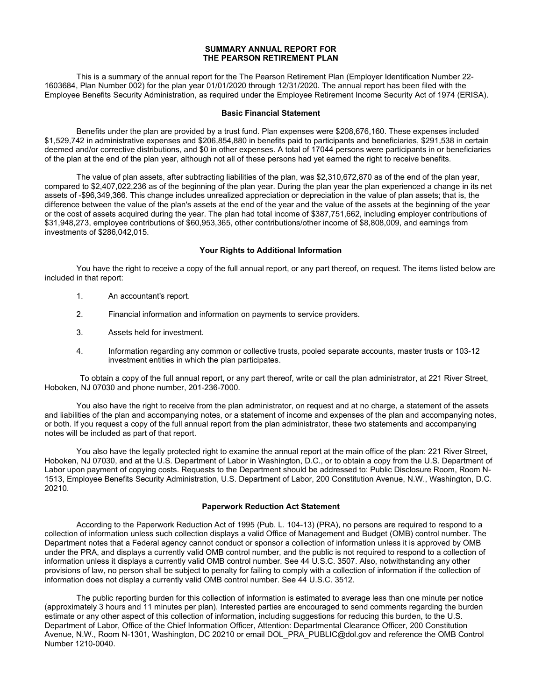## SUMMARY ANNUAL REPORT FOR THE PEARSON RETIREMENT PLAN

 This is a summary of the annual report for the The Pearson Retirement Plan (Employer Identification Number 22- 1603684, Plan Number 002) for the plan year 01/01/2020 through 12/31/2020. The annual report has been filed with the Employee Benefits Security Administration, as required under the Employee Retirement Income Security Act of 1974 (ERISA).

## Basic Financial Statement

 Benefits under the plan are provided by a trust fund. Plan expenses were \$208,676,160. These expenses included \$1,529,742 in administrative expenses and \$206,854,880 in benefits paid to participants and beneficiaries, \$291,538 in certain deemed and/or corrective distributions, and \$0 in other expenses. A total of 17044 persons were participants in or beneficiaries of the plan at the end of the plan year, although not all of these persons had yet earned the right to receive benefits.

 The value of plan assets, after subtracting liabilities of the plan, was \$2,310,672,870 as of the end of the plan year, compared to \$2,407,022,236 as of the beginning of the plan year. During the plan year the plan experienced a change in its net assets of -\$96,349,366. This change includes unrealized appreciation or depreciation in the value of plan assets; that is, the difference between the value of the plan's assets at the end of the year and the value of the assets at the beginning of the year or the cost of assets acquired during the year. The plan had total income of \$387,751,662, including employer contributions of \$31,948,273, employee contributions of \$60,953,365, other contributions/other income of \$8,808,009, and earnings from investments of \$286,042,015.

## Your Rights to Additional Information

 You have the right to receive a copy of the full annual report, or any part thereof, on request. The items listed below are included in that report:

- 1. An accountant's report.
- 2. Financial information and information on payments to service providers.
- 3. Assets held for investment.
- 4. Information regarding any common or collective trusts, pooled separate accounts, master trusts or 103-12 investment entities in which the plan participates.

 To obtain a copy of the full annual report, or any part thereof, write or call the plan administrator, at 221 River Street, Hoboken, NJ 07030 and phone number, 201-236-7000.

 You also have the right to receive from the plan administrator, on request and at no charge, a statement of the assets and liabilities of the plan and accompanying notes, or a statement of income and expenses of the plan and accompanying notes, or both. If you request a copy of the full annual report from the plan administrator, these two statements and accompanying notes will be included as part of that report.

 You also have the legally protected right to examine the annual report at the main office of the plan: 221 River Street, Hoboken, NJ 07030, and at the U.S. Department of Labor in Washington, D.C., or to obtain a copy from the U.S. Department of Labor upon payment of copying costs. Requests to the Department should be addressed to: Public Disclosure Room, Room N-1513, Employee Benefits Security Administration, U.S. Department of Labor, 200 Constitution Avenue, N.W., Washington, D.C. 20210.

## Paperwork Reduction Act Statement

 According to the Paperwork Reduction Act of 1995 (Pub. L. 104-13) (PRA), no persons are required to respond to a collection of information unless such collection displays a valid Office of Management and Budget (OMB) control number. The Department notes that a Federal agency cannot conduct or sponsor a collection of information unless it is approved by OMB under the PRA, and displays a currently valid OMB control number, and the public is not required to respond to a collection of information unless it displays a currently valid OMB control number. See 44 U.S.C. 3507. Also, notwithstanding any other provisions of law, no person shall be subject to penalty for failing to comply with a collection of information if the collection of information does not display a currently valid OMB control number. See 44 U.S.C. 3512.

 The public reporting burden for this collection of information is estimated to average less than one minute per notice (approximately 3 hours and 11 minutes per plan). Interested parties are encouraged to send comments regarding the burden estimate or any other aspect of this collection of information, including suggestions for reducing this burden, to the U.S. Department of Labor, Office of the Chief Information Officer, Attention: Departmental Clearance Officer, 200 Constitution Avenue, N.W., Room N-1301, Washington, DC 20210 or email DOL\_PRA\_PUBLIC@dol.gov and reference the OMB Control Number 1210-0040.